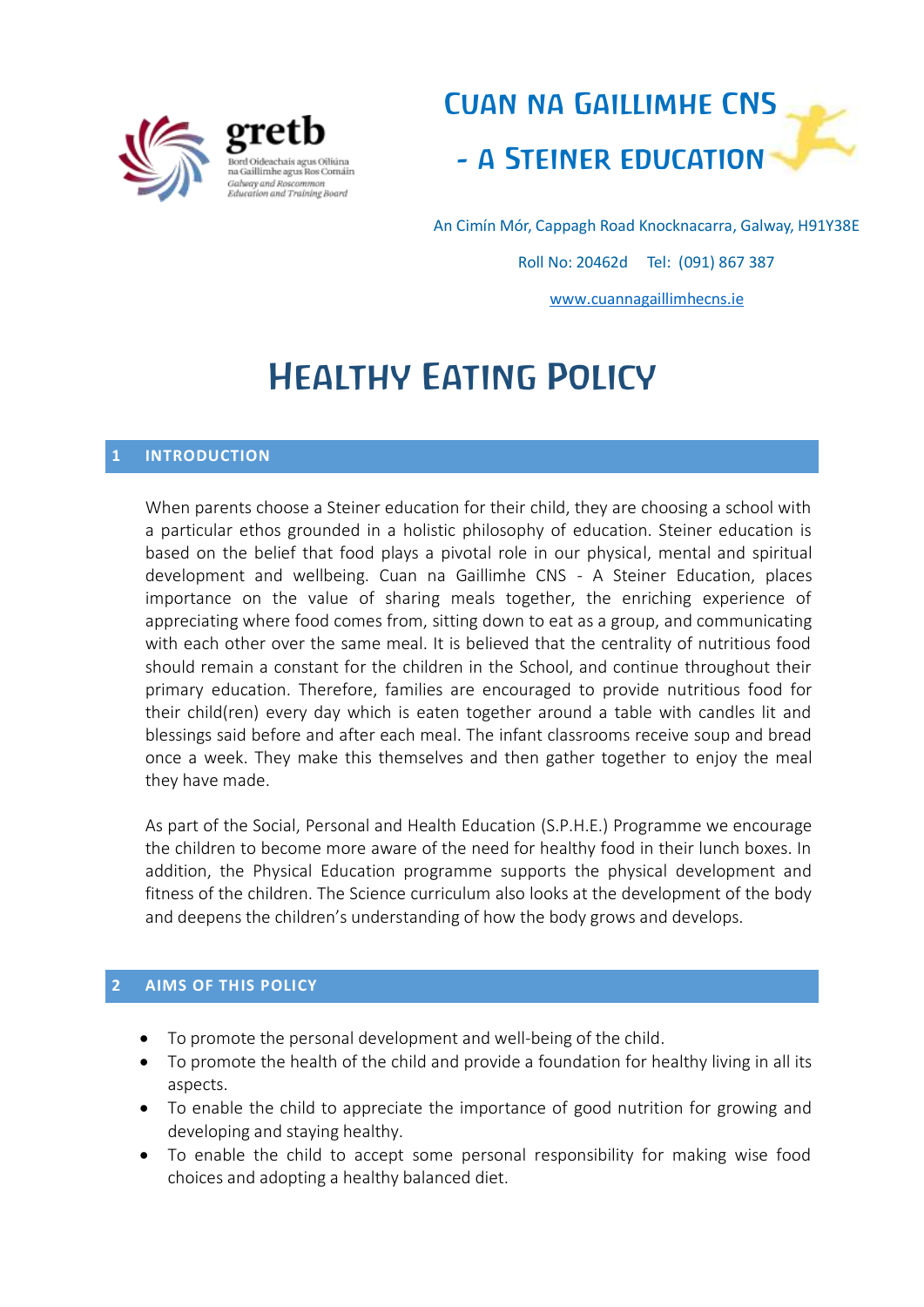



An Cimín Mór, Cappagh Road Knocknacarra, Galway, H91Y38E Roll No: 20462d Tel: (091) 867 387 [www.cuannagaillimhecns.ie](http://www.cuannagaillimhecns.ie/)

# Healthy Eating Policy

## **1 INTRODUCTION**

When parents choose a Steiner education for their child, they are choosing a school with a particular ethos grounded in a holistic philosophy of education. Steiner education is based on the belief that food plays a pivotal role in our physical, mental and spiritual development and wellbeing. Cuan na Gaillimhe CNS - A Steiner Education, places importance on the value of sharing meals together, the enriching experience of appreciating where food comes from, sitting down to eat as a group, and communicating with each other over the same meal. It is believed that the centrality of nutritious food should remain a constant for the children in the School, and continue throughout their primary education. Therefore, families are encouraged to provide nutritious food for their child(ren) every day which is eaten together around a table with candles lit and blessings said before and after each meal. The infant classrooms receive soup and bread once a week. They make this themselves and then gather together to enjoy the meal they have made.

As part of the Social, Personal and Health Education (S.P.H.E.) Programme we encourage the children to become more aware of the need for healthy food in their lunch boxes. In addition, the Physical Education programme supports the physical development and fitness of the children. The Science curriculum also looks at the development of the body and deepens the children's understanding of how the body grows and develops.

## **2 AIMS OF THIS POLICY**

- To promote the personal development and well-being of the child.
- To promote the health of the child and provide a foundation for healthy living in all its aspects.
- To enable the child to appreciate the importance of good nutrition for growing and developing and staying healthy.
- To enable the child to accept some personal responsibility for making wise food choices and adopting a healthy balanced diet.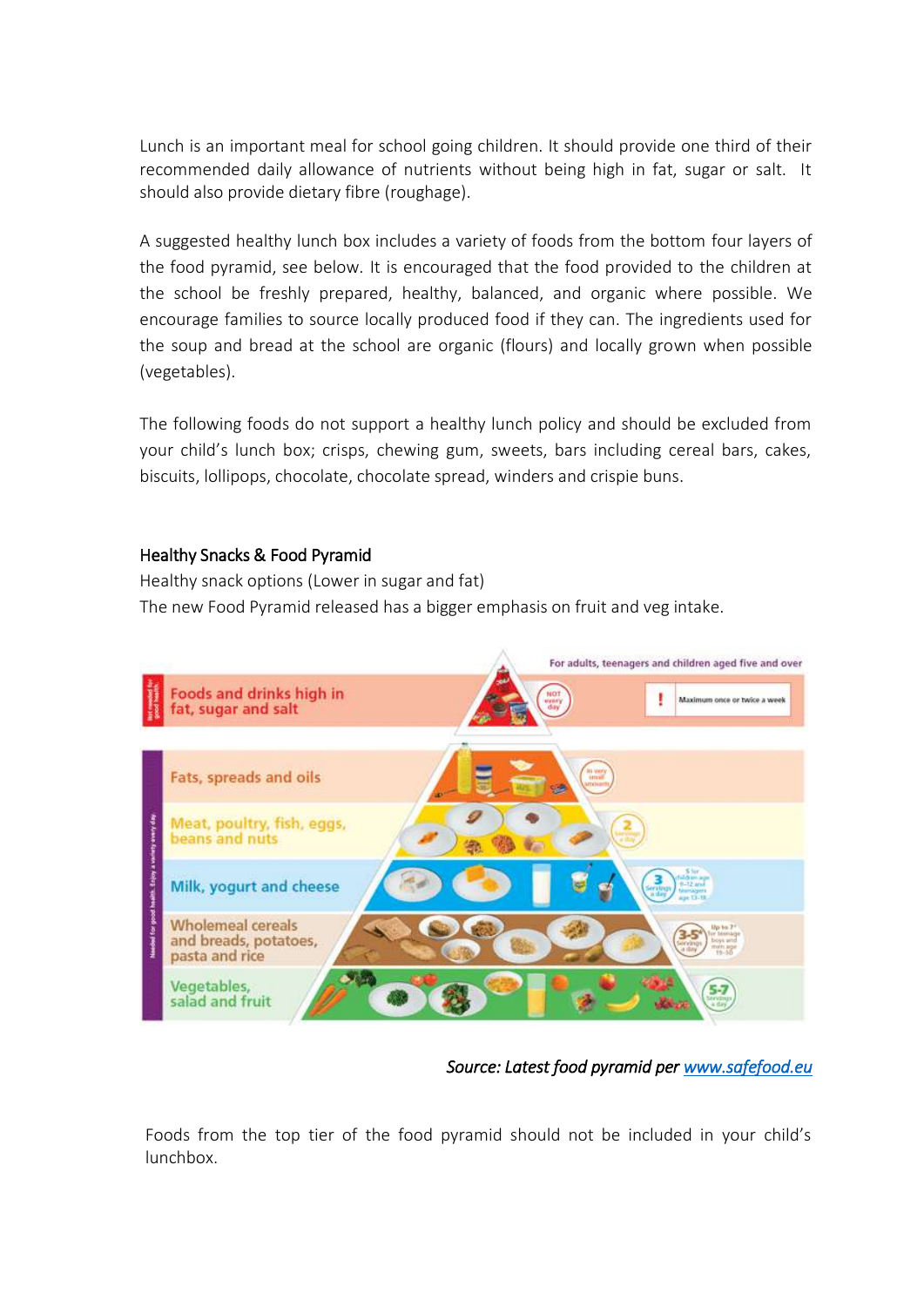Lunch is an important meal for school going children. It should provide one third of their recommended daily allowance of nutrients without being high in fat, sugar or salt. It should also provide dietary fibre (roughage).

A suggested healthy lunch box includes a variety of foods from the bottom four layers of the food pyramid, see below. It is encouraged that the food provided to the children at the school be freshly prepared, healthy, balanced, and organic where possible. We encourage families to source locally produced food if they can. The ingredients used for the soup and bread at the school are organic (flours) and locally grown when possible (vegetables).

The following foods do not support a healthy lunch policy and should be excluded from your child's lunch box; crisps, chewing gum, sweets, bars including cereal bars, cakes, biscuits, lollipops, chocolate, chocolate spread, winders and crispie buns.

# Healthy Snacks & Food Pyramid

Healthy snack options (Lower in sugar and fat) The new Food Pyramid released has a bigger emphasis on fruit and veg intake.



*Source: Latest food pyramid per [www.safefood.eu](http://www.safefood.eu/)* 

Foods from the top tier of the food pyramid should not be included in your child's lunchbox.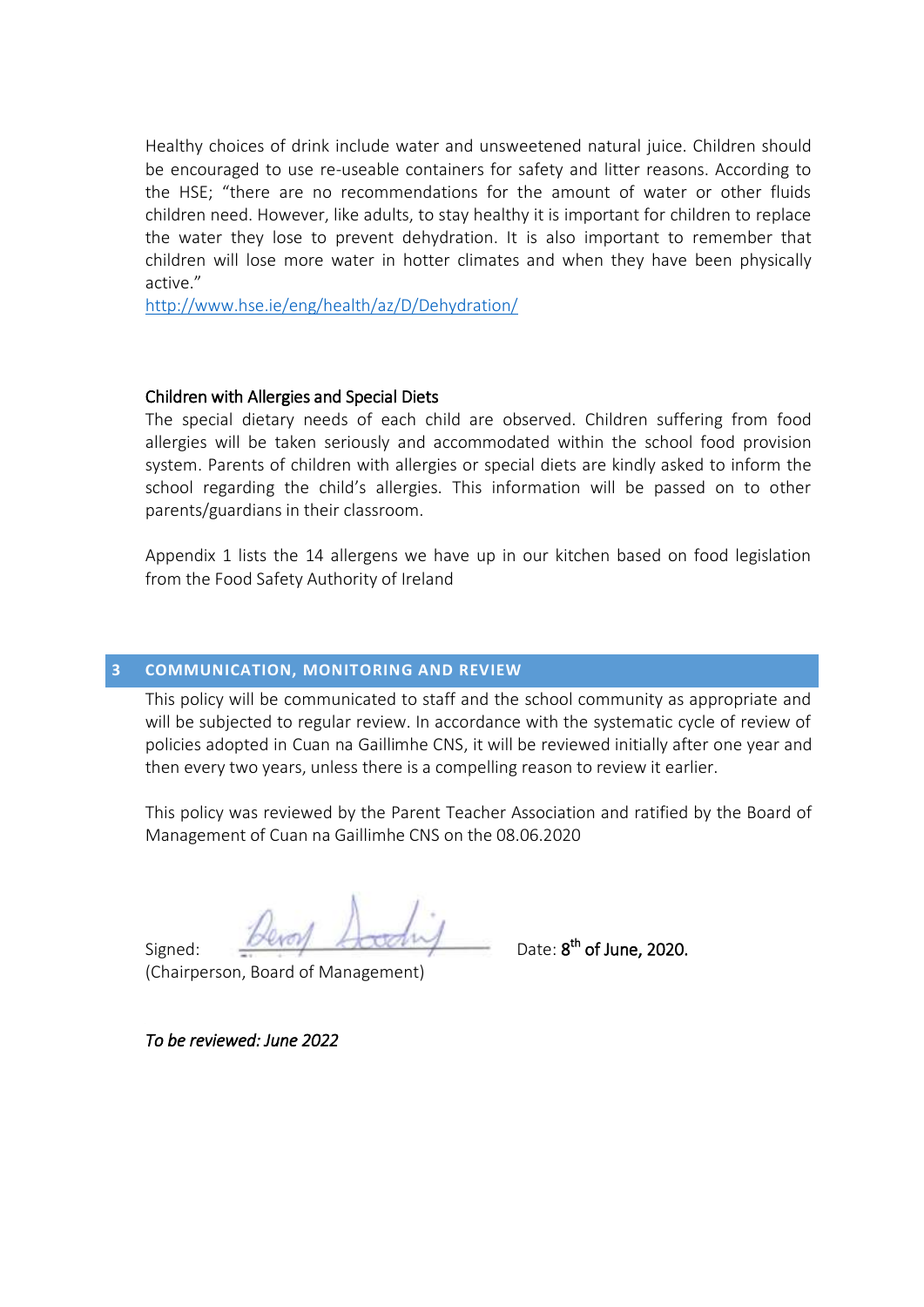Healthy choices of drink include water and unsweetened natural juice. Children should be encouraged to use re-useable containers for safety and litter reasons. According to the HSE; "there are no recommendations for the amount of water or other fluids children need. However, like adults, to stay healthy it is important for children to replace the water they lose to prevent dehydration. It is also important to remember that children will lose more water in hotter climates and when they have been physically active."

<http://www.hse.ie/eng/health/az/D/Dehydration/>

#### Children with Allergies and Special Diets

The special dietary needs of each child are observed. Children suffering from food allergies will be taken seriously and accommodated within the school food provision system. Parents of children with allergies or special diets are kindly asked to inform the school regarding the child's allergies. This information will be passed on to other parents/guardians in their classroom.

Appendix 1 lists the 14 allergens we have up in our kitchen based on food legislation from the Food Safety Authority of Ireland

#### **3 COMMUNICATION, MONITORING AND REVIEW**

This policy will be communicated to staff and the school community as appropriate and will be subjected to regular review. In accordance with the systematic cycle of review of policies adopted in Cuan na Gaillimhe CNS, it will be reviewed initially after one year and then every two years, unless there is a compelling reason to review it earlier.

This policy was reviewed by the Parent Teacher Association and ratified by the Board of Management of Cuan na Gaillimhe CNS on the 08.06.2020

Signed:  $\frac{D \cup D}{D}$  Account Date: 8<sup>th</sup> of June, 2020.

(Chairperson, Board of Management)

*To be reviewed: June 2022*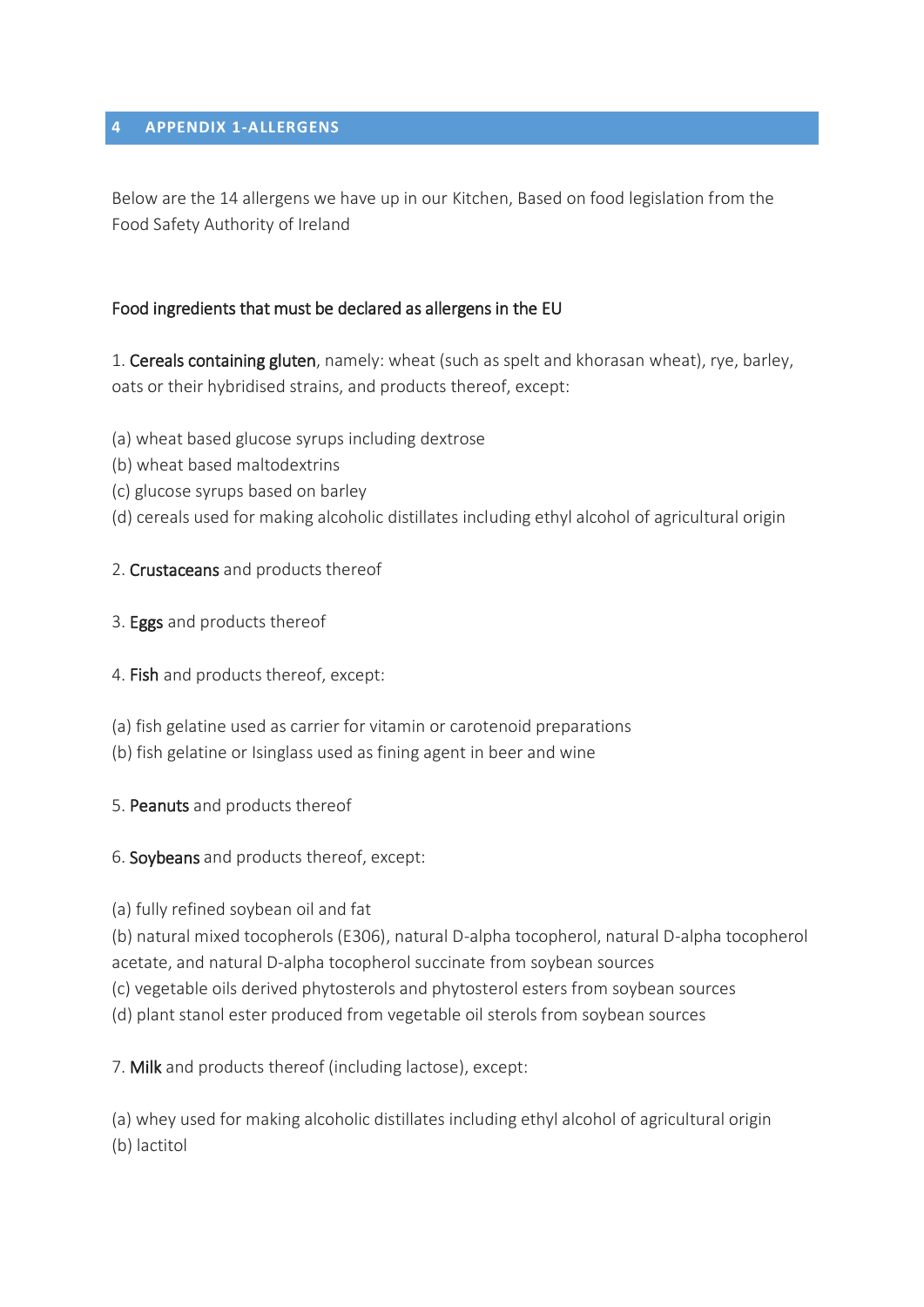## **4 APPENDIX 1-ALLERGENS**

Below are the 14 allergens we have up in our Kitchen, Based on food legislation from the Food Safety Authority of Ireland

# Food ingredients that must be declared as allergens in the EU

1. Cereals containing gluten, namely: wheat (such as spelt and khorasan wheat), rye, barley, oats or their hybridised strains, and products thereof, except:

(a) wheat based glucose syrups including dextrose

- (b) wheat based maltodextrins
- (c) glucose syrups based on barley
- (d) cereals used for making alcoholic distillates including ethyl alcohol of agricultural origin

# 2. Crustaceans and products thereof

- 3. Eggs and products thereof
- 4. Fish and products thereof, except:
- (a) fish gelatine used as carrier for vitamin or carotenoid preparations
- (b) fish gelatine or Isinglass used as fining agent in beer and wine
- 5. Peanuts and products thereof
- 6. Soybeans and products thereof, except:
- (a) fully refined soybean oil and fat

(b) natural mixed tocopherols (E306), natural D-alpha tocopherol, natural D-alpha tocopherol acetate, and natural D-alpha tocopherol succinate from soybean sources

(c) vegetable oils derived phytosterols and phytosterol esters from soybean sources

(d) plant stanol ester produced from vegetable oil sterols from soybean sources

7. Milk and products thereof (including lactose), except:

(a) whey used for making alcoholic distillates including ethyl alcohol of agricultural origin (b) lactitol